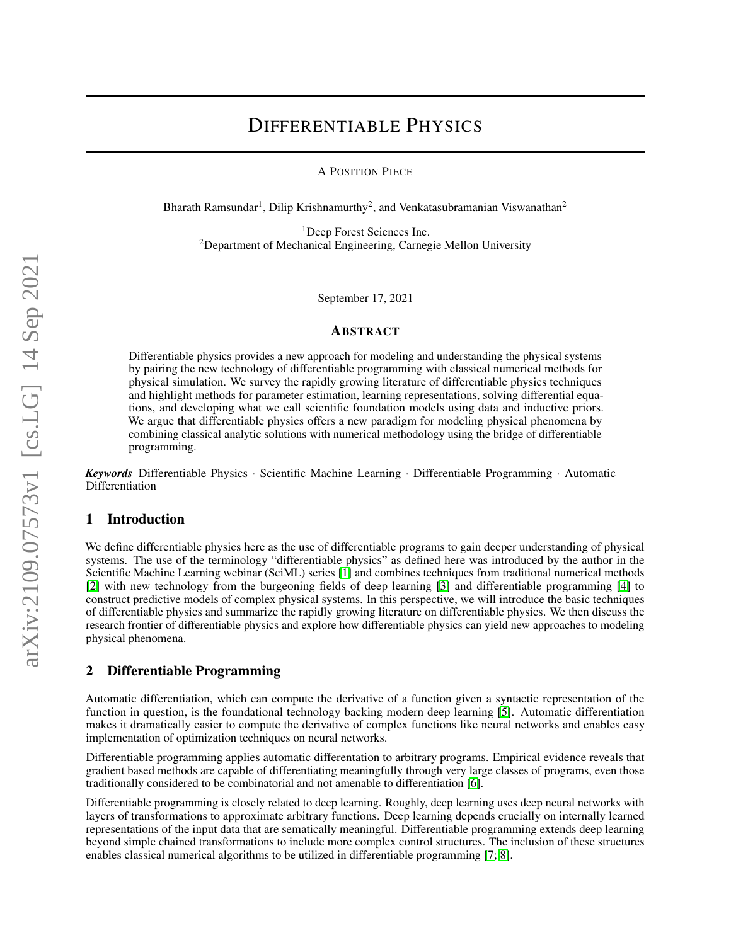# DIFFERENTIABLE PHYSICS

A POSITION PIECE

Bharath Ramsundar<sup>1</sup>, Dilip Krishnamurthy<sup>2</sup>, and Venkatasubramanian Viswanathan<sup>2</sup>

<sup>1</sup>Deep Forest Sciences Inc.  $2$ Department of Mechanical Engineering, Carnegie Mellon University

September 17, 2021

#### ABSTRACT

Differentiable physics provides a new approach for modeling and understanding the physical systems by pairing the new technology of differentiable programming with classical numerical methods for physical simulation. We survey the rapidly growing literature of differentiable physics techniques and highlight methods for parameter estimation, learning representations, solving differential equations, and developing what we call scientific foundation models using data and inductive priors. We argue that differentiable physics offers a new paradigm for modeling physical phenomena by combining classical analytic solutions with numerical methodology using the bridge of differentiable programming.

*Keywords* Differentiable Physics · Scientific Machine Learning · Differentiable Programming · Automatic Differentiation

#### 1 Introduction

We define differentiable physics here as the use of differentiable programs to gain deeper understanding of physical systems. The use of the terminology "differentiable physics" as defined here was introduced by the author in the Scientific Machine Learning webinar (SciML) series [\[1\]](#page-6-0) and combines techniques from traditional numerical methods [\[2\]](#page-6-1) with new technology from the burgeoning fields of deep learning [\[3\]](#page-6-2) and differentiable programming [\[4\]](#page-6-3) to construct predictive models of complex physical systems. In this perspective, we will introduce the basic techniques of differentiable physics and summarize the rapidly growing literature on differentiable physics. We then discuss the research frontier of differentiable physics and explore how differentiable physics can yield new approaches to modeling physical phenomena.

#### 2 Differentiable Programming

Automatic differentiation, which can compute the derivative of a function given a syntactic representation of the function in question, is the foundational technology backing modern deep learning [\[5\]](#page-6-4). Automatic differentiation makes it dramatically easier to compute the derivative of complex functions like neural networks and enables easy implementation of optimization techniques on neural networks.

Differentiable programming applies automatic differentation to arbitrary programs. Empirical evidence reveals that gradient based methods are capable of differentiating meaningfully through very large classes of programs, even those traditionally considered to be combinatorial and not amenable to differentiation [\[6\]](#page-6-5).

Differentiable programming is closely related to deep learning. Roughly, deep learning uses deep neural networks with layers of transformations to approximate arbitrary functions. Deep learning depends crucially on internally learned representations of the input data that are sematically meaningful. Differentiable programming extends deep learning beyond simple chained transformations to include more complex control structures. The inclusion of these structures enables classical numerical algorithms to be utilized in differentiable programming [\[7;](#page-6-6) [8\]](#page-6-7).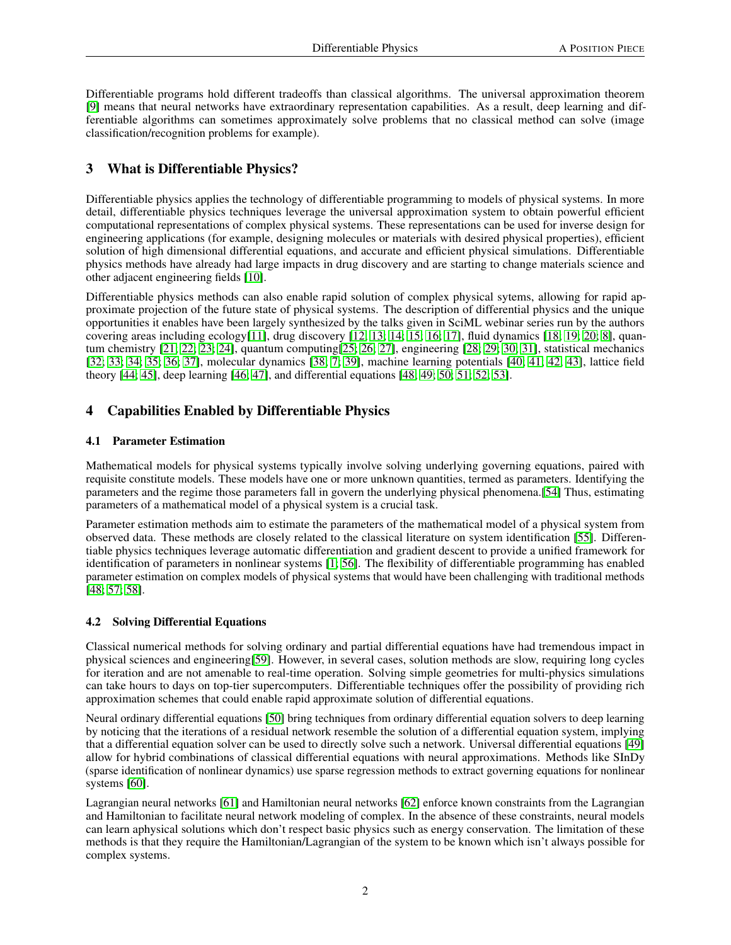Differentiable programs hold different tradeoffs than classical algorithms. The universal approximation theorem [\[9\]](#page-6-8) means that neural networks have extraordinary representation capabilities. As a result, deep learning and differentiable algorithms can sometimes approximately solve problems that no classical method can solve (image classification/recognition problems for example).

## 3 What is Differentiable Physics?

Differentiable physics applies the technology of differentiable programming to models of physical systems. In more detail, differentiable physics techniques leverage the universal approximation system to obtain powerful efficient computational representations of complex physical systems. These representations can be used for inverse design for engineering applications (for example, designing molecules or materials with desired physical properties), efficient solution of high dimensional differential equations, and accurate and efficient physical simulations. Differentiable physics methods have already had large impacts in drug discovery and are starting to change materials science and other adjacent engineering fields [\[10\]](#page-6-9).

Differentiable physics methods can also enable rapid solution of complex physical sytems, allowing for rapid approximate projection of the future state of physical systems. The description of differential physics and the unique opportunities it enables have been largely synthesized by the talks given in SciML webinar series run by the authors covering areas including ecology[\[11\]](#page-6-10), drug discovery [\[12;](#page-6-11) [13;](#page-6-12) [14;](#page-6-13) [15;](#page-6-14) [16;](#page-6-15) [17\]](#page-6-16), fluid dynamics [\[18;](#page-6-17) [19;](#page-6-18) [20;](#page-6-19) [8\]](#page-6-7), quantum chemistry [\[21;](#page-6-20) [22;](#page-6-21) [23;](#page-7-0) [24\]](#page-7-1), quantum computing[\[25;](#page-7-2) [26;](#page-7-3) [27\]](#page-7-4), engineering [\[28;](#page-7-5) [29;](#page-7-6) [30;](#page-7-7) [31\]](#page-7-8), statistical mechanics [\[32;](#page-7-9) [33;](#page-7-10) [34;](#page-7-11) [35;](#page-7-12) [36;](#page-7-13) [37\]](#page-7-14), molecular dynamics [\[38;](#page-7-15) [7;](#page-6-6) [39\]](#page-7-16), machine learning potentials [\[40;](#page-7-17) [41;](#page-7-18) [42;](#page-7-19) [43\]](#page-7-20), lattice field theory [\[44;](#page-8-0) [45\]](#page-8-1), deep learning [\[46;](#page-8-2) [47\]](#page-8-3), and differential equations [\[48;](#page-8-4) [49;](#page-8-5) [50;](#page-8-6) [51;](#page-8-7) [52;](#page-8-8) [53\]](#page-8-9).

### 4 Capabilities Enabled by Differentiable Physics

#### 4.1 Parameter Estimation

Mathematical models for physical systems typically involve solving underlying governing equations, paired with requisite constitute models. These models have one or more unknown quantities, termed as parameters. Identifying the parameters and the regime those parameters fall in govern the underlying physical phenomena.[\[54\]](#page-8-10) Thus, estimating parameters of a mathematical model of a physical system is a crucial task.

Parameter estimation methods aim to estimate the parameters of the mathematical model of a physical system from observed data. These methods are closely related to the classical literature on system identification [\[55\]](#page-8-11). Differentiable physics techniques leverage automatic differentiation and gradient descent to provide a unified framework for identification of parameters in nonlinear systems [\[1;](#page-6-0) [56\]](#page-8-12). The flexibility of differentiable programming has enabled parameter estimation on complex models of physical systems that would have been challenging with traditional methods [\[48;](#page-8-4) [57;](#page-8-13) [58\]](#page-8-14).

#### 4.2 Solving Differential Equations

Classical numerical methods for solving ordinary and partial differential equations have had tremendous impact in physical sciences and engineering[\[59\]](#page-8-15). However, in several cases, solution methods are slow, requiring long cycles for iteration and are not amenable to real-time operation. Solving simple geometries for multi-physics simulations can take hours to days on top-tier supercomputers. Differentiable techniques offer the possibility of providing rich approximation schemes that could enable rapid approximate solution of differential equations.

Neural ordinary differential equations [\[50\]](#page-8-6) bring techniques from ordinary differential equation solvers to deep learning by noticing that the iterations of a residual network resemble the solution of a differential equation system, implying that a differential equation solver can be used to directly solve such a network. Universal differential equations [\[49\]](#page-8-5) allow for hybrid combinations of classical differential equations with neural approximations. Methods like SInDy (sparse identification of nonlinear dynamics) use sparse regression methods to extract governing equations for nonlinear systems [\[60\]](#page-8-16).

Lagrangian neural networks [\[61\]](#page-8-17) and Hamiltonian neural networks [\[62\]](#page-8-18) enforce known constraints from the Lagrangian and Hamiltonian to facilitate neural network modeling of complex. In the absence of these constraints, neural models can learn aphysical solutions which don't respect basic physics such as energy conservation. The limitation of these methods is that they require the Hamiltonian/Lagrangian of the system to be known which isn't always possible for complex systems.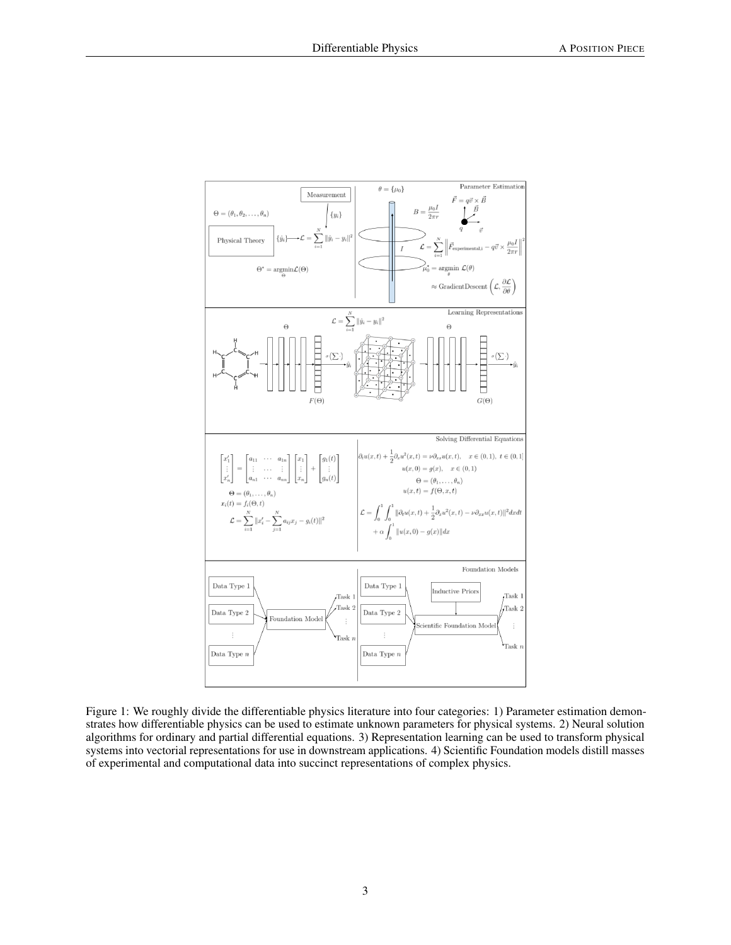

Figure 1: We roughly divide the differentiable physics literature into four categories: 1) Parameter estimation demonstrates how differentiable physics can be used to estimate unknown parameters for physical systems. 2) Neural solution algorithms for ordinary and partial differential equations. 3) Representation learning can be used to transform physical systems into vectorial representations for use in downstream applications. 4) Scientific Foundation models distill masses of experimental and computational data into succinct representations of complex physics.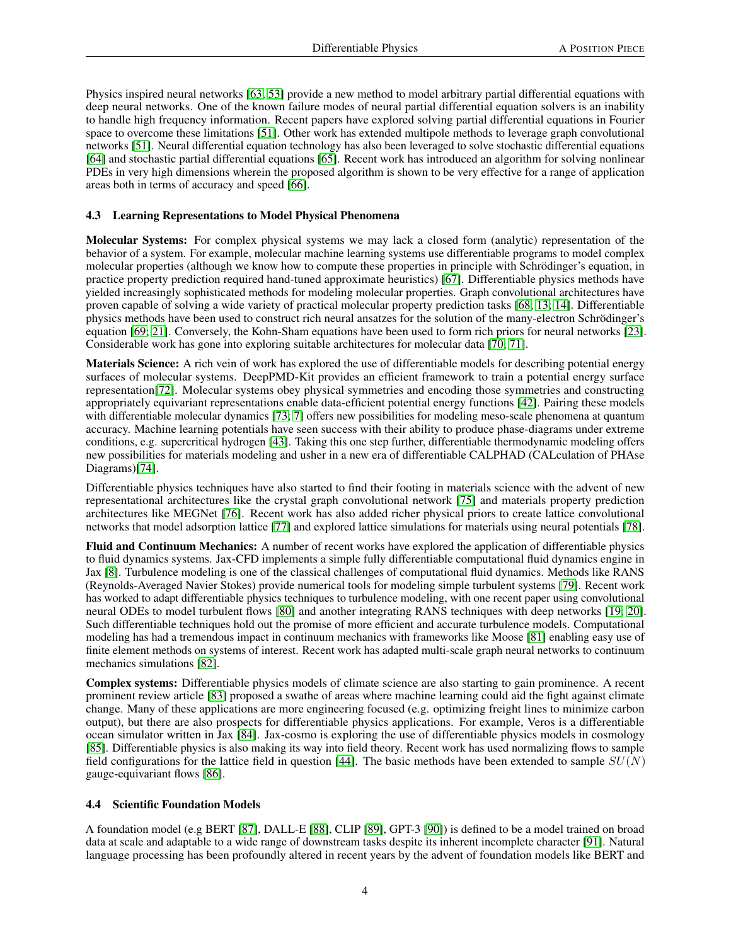Physics inspired neural networks [\[63;](#page-8-19) [53\]](#page-8-9) provide a new method to model arbitrary partial differential equations with deep neural networks. One of the known failure modes of neural partial differential equation solvers is an inability to handle high frequency information. Recent papers have explored solving partial differential equations in Fourier space to overcome these limitations [\[51\]](#page-8-7). Other work has extended multipole methods to leverage graph convolutional networks [\[51\]](#page-8-7). Neural differential equation technology has also been leveraged to solve stochastic differential equations [\[64\]](#page-8-20) and stochastic partial differential equations [\[65\]](#page-8-21). Recent work has introduced an algorithm for solving nonlinear PDEs in very high dimensions wherein the proposed algorithm is shown to be very effective for a range of application areas both in terms of accuracy and speed [\[66\]](#page-8-22).

#### 4.3 Learning Representations to Model Physical Phenomena

Molecular Systems: For complex physical systems we may lack a closed form (analytic) representation of the behavior of a system. For example, molecular machine learning systems use differentiable programs to model complex molecular properties (although we know how to compute these properties in principle with Schrödinger's equation, in practice property prediction required hand-tuned approximate heuristics) [\[67\]](#page-8-23). Differentiable physics methods have yielded increasingly sophisticated methods for modeling molecular properties. Graph convolutional architectures have proven capable of solving a wide variety of practical molecular property prediction tasks [\[68;](#page-9-0) [13;](#page-6-12) [14\]](#page-6-13). Differentiable physics methods have been used to construct rich neural ansatzes for the solution of the many-electron Schrödinger's equation [\[69;](#page-9-1) [21\]](#page-6-20). Conversely, the Kohn-Sham equations have been used to form rich priors for neural networks [\[23\]](#page-7-0). Considerable work has gone into exploring suitable architectures for molecular data [\[70;](#page-9-2) [71\]](#page-9-3).

Materials Science: A rich vein of work has explored the use of differentiable models for describing potential energy surfaces of molecular systems. DeepPMD-Kit provides an efficient framework to train a potential energy surface representation[\[72\]](#page-9-4). Molecular systems obey physical symmetries and encoding those symmetries and constructing appropriately equivariant representations enable data-efficient potential energy functions [\[42\]](#page-7-19). Pairing these models with differentiable molecular dynamics [\[73;](#page-9-5) [7\]](#page-6-6) offers new possibilities for modeling meso-scale phenomena at quantum accuracy. Machine learning potentials have seen success with their ability to produce phase-diagrams under extreme conditions, e.g. supercritical hydrogen [\[43\]](#page-7-20). Taking this one step further, differentiable thermodynamic modeling offers new possibilities for materials modeling and usher in a new era of differentiable CALPHAD (CALculation of PHAse Diagrams)[\[74\]](#page-9-6).

Differentiable physics techniques have also started to find their footing in materials science with the advent of new representational architectures like the crystal graph convolutional network [\[75\]](#page-9-7) and materials property prediction architectures like MEGNet [\[76\]](#page-9-8). Recent work has also added richer physical priors to create lattice convolutional networks that model adsorption lattice [\[77\]](#page-9-9) and explored lattice simulations for materials using neural potentials [\[78\]](#page-9-10).

Fluid and Continuum Mechanics: A number of recent works have explored the application of differentiable physics to fluid dynamics systems. Jax-CFD implements a simple fully differentiable computational fluid dynamics engine in Jax [\[8\]](#page-6-7). Turbulence modeling is one of the classical challenges of computational fluid dynamics. Methods like RANS (Reynolds-Averaged Navier Stokes) provide numerical tools for modeling simple turbulent systems [\[79\]](#page-9-11). Recent work has worked to adapt differentiable physics techniques to turbulence modeling, with one recent paper using convolutional neural ODEs to model turbulent flows [\[80\]](#page-9-12) and another integrating RANS techniques with deep networks [\[19;](#page-6-18) [20\]](#page-6-19). Such differentiable techniques hold out the promise of more efficient and accurate turbulence models. Computational modeling has had a tremendous impact in continuum mechanics with frameworks like Moose [\[81\]](#page-9-13) enabling easy use of finite element methods on systems of interest. Recent work has adapted multi-scale graph neural networks to continuum mechanics simulations [\[82\]](#page-9-14).

Complex systems: Differentiable physics models of climate science are also starting to gain prominence. A recent prominent review article [\[83\]](#page-9-15) proposed a swathe of areas where machine learning could aid the fight against climate change. Many of these applications are more engineering focused (e.g. optimizing freight lines to minimize carbon output), but there are also prospects for differentiable physics applications. For example, Veros is a differentiable ocean simulator written in Jax [\[84\]](#page-9-16). Jax-cosmo is exploring the use of differentiable physics models in cosmology [\[85\]](#page-9-17). Differentiable physics is also making its way into field theory. Recent work has used normalizing flows to sample field configurations for the lattice field in question [\[44\]](#page-8-0). The basic methods have been extended to sample  $SU(N)$ gauge-equivariant flows [\[86\]](#page-9-18).

#### 4.4 Scientific Foundation Models

A foundation model (e.g BERT [\[87\]](#page-9-19), DALL-E [\[88\]](#page-9-20), CLIP [\[89\]](#page-9-21), GPT-3 [\[90\]](#page-10-0)) is defined to be a model trained on broad data at scale and adaptable to a wide range of downstream tasks despite its inherent incomplete character [\[91\]](#page-10-1). Natural language processing has been profoundly altered in recent years by the advent of foundation models like BERT and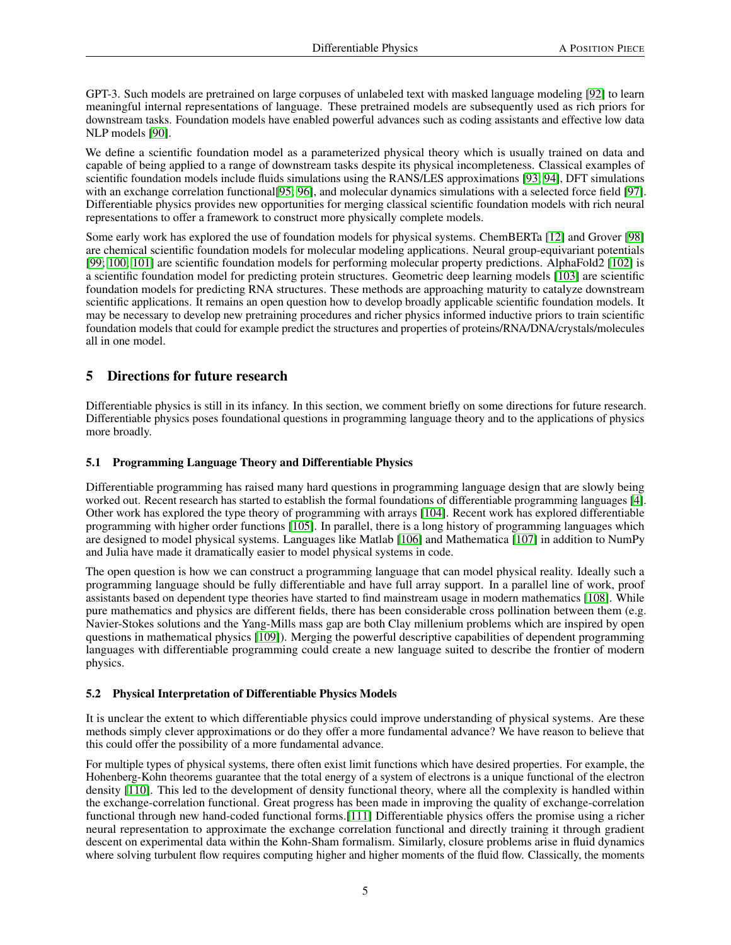GPT-3. Such models are pretrained on large corpuses of unlabeled text with masked language modeling [\[92\]](#page-10-2) to learn meaningful internal representations of language. These pretrained models are subsequently used as rich priors for downstream tasks. Foundation models have enabled powerful advances such as coding assistants and effective low data NLP models [\[90\]](#page-10-0).

We define a scientific foundation model as a parameterized physical theory which is usually trained on data and capable of being applied to a range of downstream tasks despite its physical incompleteness. Classical examples of scientific foundation models include fluids simulations using the RANS/LES approximations [\[93;](#page-10-3) [94\]](#page-10-4), DFT simulations with an exchange correlation functional [\[95;](#page-10-5) [96\]](#page-10-6), and molecular dynamics simulations with a selected force field [\[97\]](#page-10-7). Differentiable physics provides new opportunities for merging classical scientific foundation models with rich neural representations to offer a framework to construct more physically complete models.

Some early work has explored the use of foundation models for physical systems. ChemBERTa [\[12\]](#page-6-11) and Grover [\[98\]](#page-10-8) are chemical scientific foundation models for molecular modeling applications. Neural group-equivariant potentials [\[99;](#page-10-9) [100;](#page-10-10) [101\]](#page-10-11) are scientific foundation models for performing molecular property predictions. AlphaFold2 [\[102\]](#page-10-12) is a scientific foundation model for predicting protein structures. Geometric deep learning models [\[103\]](#page-10-13) are scientific foundation models for predicting RNA structures. These methods are approaching maturity to catalyze downstream scientific applications. It remains an open question how to develop broadly applicable scientific foundation models. It may be necessary to develop new pretraining procedures and richer physics informed inductive priors to train scientific foundation models that could for example predict the structures and properties of proteins/RNA/DNA/crystals/molecules all in one model.

### 5 Directions for future research

Differentiable physics is still in its infancy. In this section, we comment briefly on some directions for future research. Differentiable physics poses foundational questions in programming language theory and to the applications of physics more broadly.

#### 5.1 Programming Language Theory and Differentiable Physics

Differentiable programming has raised many hard questions in programming language design that are slowly being worked out. Recent research has started to establish the formal foundations of differentiable programming languages [\[4\]](#page-6-3). Other work has explored the type theory of programming with arrays [\[104\]](#page-10-14). Recent work has explored differentiable programming with higher order functions [\[105\]](#page-10-15). In parallel, there is a long history of programming languages which are designed to model physical systems. Languages like Matlab [\[106\]](#page-10-16) and Mathematica [\[107\]](#page-10-17) in addition to NumPy and Julia have made it dramatically easier to model physical systems in code.

The open question is how we can construct a programming language that can model physical reality. Ideally such a programming language should be fully differentiable and have full array support. In a parallel line of work, proof assistants based on dependent type theories have started to find mainstream usage in modern mathematics [\[108\]](#page-10-18). While pure mathematics and physics are different fields, there has been considerable cross pollination between them (e.g. Navier-Stokes solutions and the Yang-Mills mass gap are both Clay millenium problems which are inspired by open questions in mathematical physics [\[109\]](#page-10-19)). Merging the powerful descriptive capabilities of dependent programming languages with differentiable programming could create a new language suited to describe the frontier of modern physics.

### 5.2 Physical Interpretation of Differentiable Physics Models

It is unclear the extent to which differentiable physics could improve understanding of physical systems. Are these methods simply clever approximations or do they offer a more fundamental advance? We have reason to believe that this could offer the possibility of a more fundamental advance.

For multiple types of physical systems, there often exist limit functions which have desired properties. For example, the Hohenberg-Kohn theorems guarantee that the total energy of a system of electrons is a unique functional of the electron density [\[110\]](#page-10-20). This led to the development of density functional theory, where all the complexity is handled within the exchange-correlation functional. Great progress has been made in improving the quality of exchange-correlation functional through new hand-coded functional forms.[\[111\]](#page-10-21) Differentiable physics offers the promise using a richer neural representation to approximate the exchange correlation functional and directly training it through gradient descent on experimental data within the Kohn-Sham formalism. Similarly, closure problems arise in fluid dynamics where solving turbulent flow requires computing higher and higher moments of the fluid flow. Classically, the moments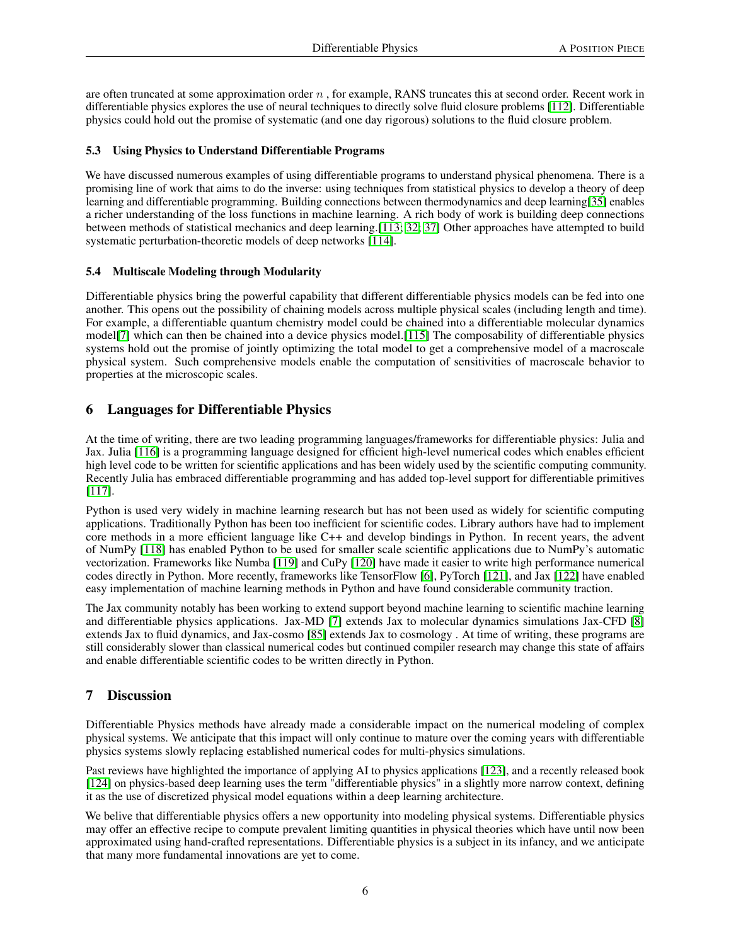are often truncated at some approximation order  $n$ , for example, RANS truncates this at second order. Recent work in differentiable physics explores the use of neural techniques to directly solve fluid closure problems [\[112\]](#page-10-22). Differentiable physics could hold out the promise of systematic (and one day rigorous) solutions to the fluid closure problem.

#### 5.3 Using Physics to Understand Differentiable Programs

We have discussed numerous examples of using differentiable programs to understand physical phenomena. There is a promising line of work that aims to do the inverse: using techniques from statistical physics to develop a theory of deep learning and differentiable programming. Building connections between thermodynamics and deep learning[\[35\]](#page-7-12) enables a richer understanding of the loss functions in machine learning. A rich body of work is building deep connections between methods of statistical mechanics and deep learning.[\[113;](#page-10-23) [32;](#page-7-9) [37\]](#page-7-14) Other approaches have attempted to build systematic perturbation-theoretic models of deep networks [\[114\]](#page-10-24).

#### 5.4 Multiscale Modeling through Modularity

Differentiable physics bring the powerful capability that different differentiable physics models can be fed into one another. This opens out the possibility of chaining models across multiple physical scales (including length and time). For example, a differentiable quantum chemistry model could be chained into a differentiable molecular dynamics model[\[7\]](#page-6-6) which can then be chained into a device physics model.[\[115\]](#page-11-0) The composability of differentiable physics systems hold out the promise of jointly optimizing the total model to get a comprehensive model of a macroscale physical system. Such comprehensive models enable the computation of sensitivities of macroscale behavior to properties at the microscopic scales.

### 6 Languages for Differentiable Physics

At the time of writing, there are two leading programming languages/frameworks for differentiable physics: Julia and Jax. Julia [\[116\]](#page-11-1) is a programming language designed for efficient high-level numerical codes which enables efficient high level code to be written for scientific applications and has been widely used by the scientific computing community. Recently Julia has embraced differentiable programming and has added top-level support for differentiable primitives [\[117\]](#page-11-2).

Python is used very widely in machine learning research but has not been used as widely for scientific computing applications. Traditionally Python has been too inefficient for scientific codes. Library authors have had to implement core methods in a more efficient language like C++ and develop bindings in Python. In recent years, the advent of NumPy [\[118\]](#page-11-3) has enabled Python to be used for smaller scale scientific applications due to NumPy's automatic vectorization. Frameworks like Numba [\[119\]](#page-11-4) and CuPy [\[120\]](#page-11-5) have made it easier to write high performance numerical codes directly in Python. More recently, frameworks like TensorFlow [\[6\]](#page-6-5), PyTorch [\[121\]](#page-11-6), and Jax [\[122\]](#page-11-7) have enabled easy implementation of machine learning methods in Python and have found considerable community traction.

The Jax community notably has been working to extend support beyond machine learning to scientific machine learning and differentiable physics applications. Jax-MD [\[7\]](#page-6-6) extends Jax to molecular dynamics simulations Jax-CFD [\[8\]](#page-6-7) extends Jax to fluid dynamics, and Jax-cosmo [\[85\]](#page-9-17) extends Jax to cosmology . At time of writing, these programs are still considerably slower than classical numerical codes but continued compiler research may change this state of affairs and enable differentiable scientific codes to be written directly in Python.

### 7 Discussion

Differentiable Physics methods have already made a considerable impact on the numerical modeling of complex physical systems. We anticipate that this impact will only continue to mature over the coming years with differentiable physics systems slowly replacing established numerical codes for multi-physics simulations.

Past reviews have highlighted the importance of applying AI to physics applications [\[123\]](#page-11-8), and a recently released book [\[124\]](#page-11-9) on physics-based deep learning uses the term "differentiable physics" in a slightly more narrow context, defining it as the use of discretized physical model equations within a deep learning architecture.

We belive that differentiable physics offers a new opportunity into modeling physical systems. Differentiable physics may offer an effective recipe to compute prevalent limiting quantities in physical theories which have until now been approximated using hand-crafted representations. Differentiable physics is a subject in its infancy, and we anticipate that many more fundamental innovations are yet to come.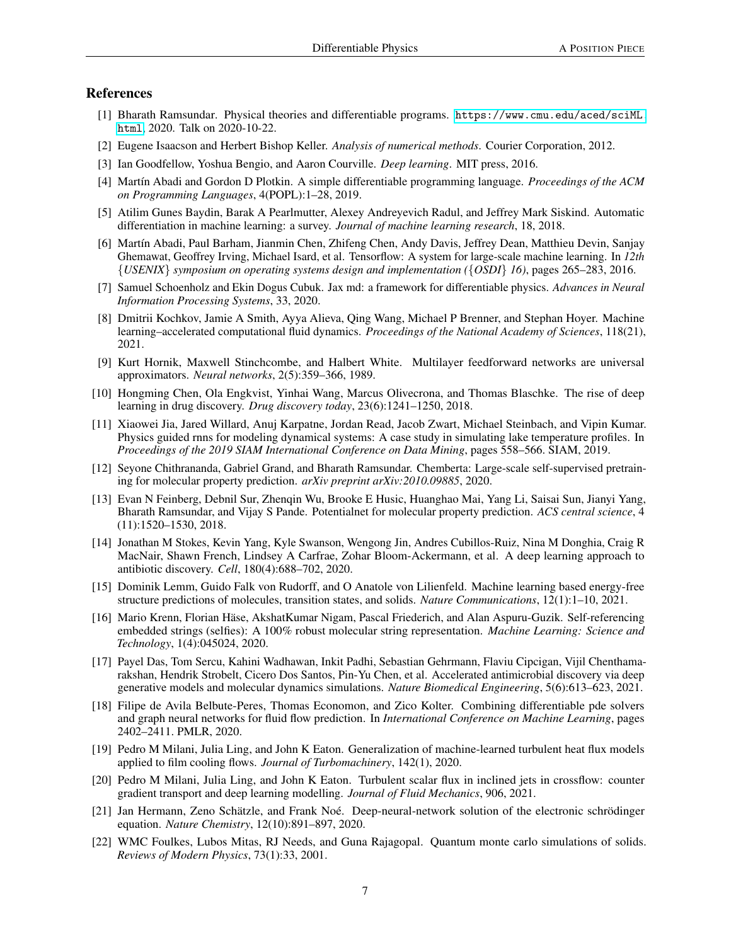#### References

- <span id="page-6-0"></span>[1] Bharath Ramsundar. Physical theories and differentiable programs. [https://www.cmu.edu/aced/sciML.](https://www.cmu.edu/aced/sciML.html) [html](https://www.cmu.edu/aced/sciML.html), 2020. Talk on 2020-10-22.
- <span id="page-6-1"></span>[2] Eugene Isaacson and Herbert Bishop Keller. *Analysis of numerical methods*. Courier Corporation, 2012.
- <span id="page-6-2"></span>[3] Ian Goodfellow, Yoshua Bengio, and Aaron Courville. *Deep learning*. MIT press, 2016.
- <span id="page-6-3"></span>[4] Martín Abadi and Gordon D Plotkin. A simple differentiable programming language. *Proceedings of the ACM on Programming Languages*, 4(POPL):1–28, 2019.
- <span id="page-6-4"></span>[5] Atilim Gunes Baydin, Barak A Pearlmutter, Alexey Andreyevich Radul, and Jeffrey Mark Siskind. Automatic differentiation in machine learning: a survey. *Journal of machine learning research*, 18, 2018.
- <span id="page-6-5"></span>[6] Martín Abadi, Paul Barham, Jianmin Chen, Zhifeng Chen, Andy Davis, Jeffrey Dean, Matthieu Devin, Sanjay Ghemawat, Geoffrey Irving, Michael Isard, et al. Tensorflow: A system for large-scale machine learning. In *12th* {*USENIX*} *symposium on operating systems design and implementation (*{*OSDI*} *16)*, pages 265–283, 2016.
- <span id="page-6-6"></span>[7] Samuel Schoenholz and Ekin Dogus Cubuk. Jax md: a framework for differentiable physics. *Advances in Neural Information Processing Systems*, 33, 2020.
- <span id="page-6-7"></span>[8] Dmitrii Kochkov, Jamie A Smith, Ayya Alieva, Qing Wang, Michael P Brenner, and Stephan Hoyer. Machine learning–accelerated computational fluid dynamics. *Proceedings of the National Academy of Sciences*, 118(21), 2021.
- <span id="page-6-8"></span>[9] Kurt Hornik, Maxwell Stinchcombe, and Halbert White. Multilayer feedforward networks are universal approximators. *Neural networks*, 2(5):359–366, 1989.
- <span id="page-6-9"></span>[10] Hongming Chen, Ola Engkvist, Yinhai Wang, Marcus Olivecrona, and Thomas Blaschke. The rise of deep learning in drug discovery. *Drug discovery today*, 23(6):1241–1250, 2018.
- <span id="page-6-10"></span>[11] Xiaowei Jia, Jared Willard, Anuj Karpatne, Jordan Read, Jacob Zwart, Michael Steinbach, and Vipin Kumar. Physics guided rnns for modeling dynamical systems: A case study in simulating lake temperature profiles. In *Proceedings of the 2019 SIAM International Conference on Data Mining*, pages 558–566. SIAM, 2019.
- <span id="page-6-11"></span>[12] Seyone Chithrananda, Gabriel Grand, and Bharath Ramsundar. Chemberta: Large-scale self-supervised pretraining for molecular property prediction. *arXiv preprint arXiv:2010.09885*, 2020.
- <span id="page-6-12"></span>[13] Evan N Feinberg, Debnil Sur, Zhenqin Wu, Brooke E Husic, Huanghao Mai, Yang Li, Saisai Sun, Jianyi Yang, Bharath Ramsundar, and Vijay S Pande. Potentialnet for molecular property prediction. *ACS central science*, 4 (11):1520–1530, 2018.
- <span id="page-6-13"></span>[14] Jonathan M Stokes, Kevin Yang, Kyle Swanson, Wengong Jin, Andres Cubillos-Ruiz, Nina M Donghia, Craig R MacNair, Shawn French, Lindsey A Carfrae, Zohar Bloom-Ackermann, et al. A deep learning approach to antibiotic discovery. *Cell*, 180(4):688–702, 2020.
- <span id="page-6-14"></span>[15] Dominik Lemm, Guido Falk von Rudorff, and O Anatole von Lilienfeld. Machine learning based energy-free structure predictions of molecules, transition states, and solids. *Nature Communications*, 12(1):1–10, 2021.
- <span id="page-6-15"></span>[16] Mario Krenn, Florian Häse, AkshatKumar Nigam, Pascal Friederich, and Alan Aspuru-Guzik. Self-referencing embedded strings (selfies): A 100% robust molecular string representation. *Machine Learning: Science and Technology*, 1(4):045024, 2020.
- <span id="page-6-16"></span>[17] Payel Das, Tom Sercu, Kahini Wadhawan, Inkit Padhi, Sebastian Gehrmann, Flaviu Cipcigan, Vijil Chenthamarakshan, Hendrik Strobelt, Cicero Dos Santos, Pin-Yu Chen, et al. Accelerated antimicrobial discovery via deep generative models and molecular dynamics simulations. *Nature Biomedical Engineering*, 5(6):613–623, 2021.
- <span id="page-6-17"></span>[18] Filipe de Avila Belbute-Peres, Thomas Economon, and Zico Kolter. Combining differentiable pde solvers and graph neural networks for fluid flow prediction. In *International Conference on Machine Learning*, pages 2402–2411. PMLR, 2020.
- <span id="page-6-18"></span>[19] Pedro M Milani, Julia Ling, and John K Eaton. Generalization of machine-learned turbulent heat flux models applied to film cooling flows. *Journal of Turbomachinery*, 142(1), 2020.
- <span id="page-6-19"></span>[20] Pedro M Milani, Julia Ling, and John K Eaton. Turbulent scalar flux in inclined jets in crossflow: counter gradient transport and deep learning modelling. *Journal of Fluid Mechanics*, 906, 2021.
- <span id="page-6-20"></span>[21] Jan Hermann, Zeno Schätzle, and Frank Noé. Deep-neural-network solution of the electronic schrödinger equation. *Nature Chemistry*, 12(10):891–897, 2020.
- <span id="page-6-21"></span>[22] WMC Foulkes, Lubos Mitas, RJ Needs, and Guna Rajagopal. Quantum monte carlo simulations of solids. *Reviews of Modern Physics*, 73(1):33, 2001.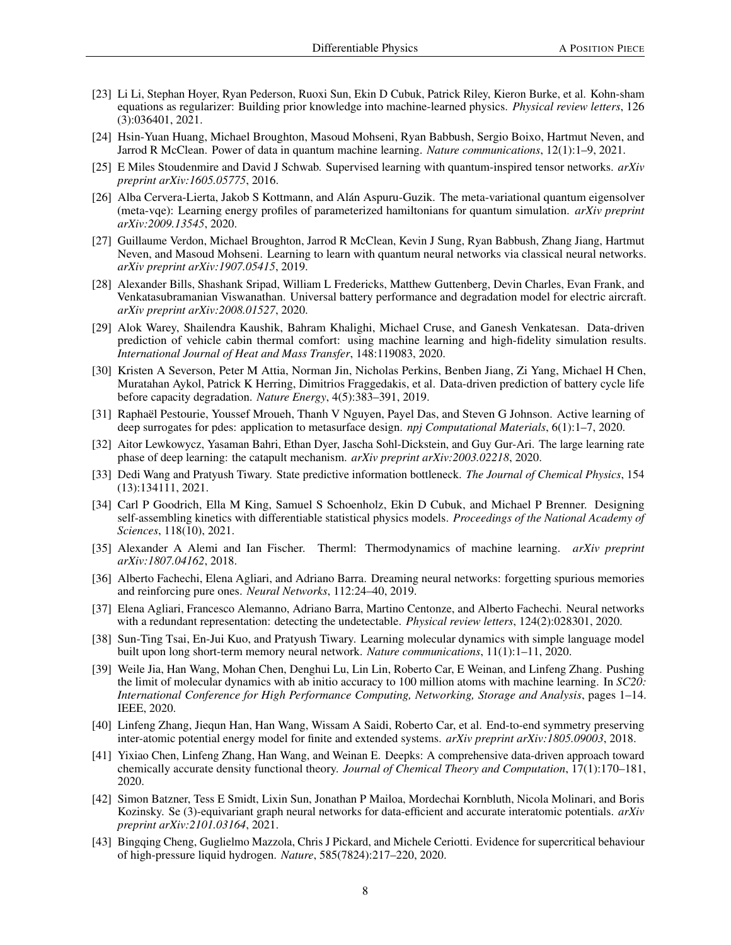- <span id="page-7-0"></span>[23] Li Li, Stephan Hoyer, Ryan Pederson, Ruoxi Sun, Ekin D Cubuk, Patrick Riley, Kieron Burke, et al. Kohn-sham equations as regularizer: Building prior knowledge into machine-learned physics. *Physical review letters*, 126 (3):036401, 2021.
- <span id="page-7-1"></span>[24] Hsin-Yuan Huang, Michael Broughton, Masoud Mohseni, Ryan Babbush, Sergio Boixo, Hartmut Neven, and Jarrod R McClean. Power of data in quantum machine learning. *Nature communications*, 12(1):1–9, 2021.
- <span id="page-7-2"></span>[25] E Miles Stoudenmire and David J Schwab. Supervised learning with quantum-inspired tensor networks. *arXiv preprint arXiv:1605.05775*, 2016.
- <span id="page-7-3"></span>[26] Alba Cervera-Lierta, Jakob S Kottmann, and Alán Aspuru-Guzik. The meta-variational quantum eigensolver (meta-vqe): Learning energy profiles of parameterized hamiltonians for quantum simulation. *arXiv preprint arXiv:2009.13545*, 2020.
- <span id="page-7-4"></span>[27] Guillaume Verdon, Michael Broughton, Jarrod R McClean, Kevin J Sung, Ryan Babbush, Zhang Jiang, Hartmut Neven, and Masoud Mohseni. Learning to learn with quantum neural networks via classical neural networks. *arXiv preprint arXiv:1907.05415*, 2019.
- <span id="page-7-5"></span>[28] Alexander Bills, Shashank Sripad, William L Fredericks, Matthew Guttenberg, Devin Charles, Evan Frank, and Venkatasubramanian Viswanathan. Universal battery performance and degradation model for electric aircraft. *arXiv preprint arXiv:2008.01527*, 2020.
- <span id="page-7-6"></span>[29] Alok Warey, Shailendra Kaushik, Bahram Khalighi, Michael Cruse, and Ganesh Venkatesan. Data-driven prediction of vehicle cabin thermal comfort: using machine learning and high-fidelity simulation results. *International Journal of Heat and Mass Transfer*, 148:119083, 2020.
- <span id="page-7-7"></span>[30] Kristen A Severson, Peter M Attia, Norman Jin, Nicholas Perkins, Benben Jiang, Zi Yang, Michael H Chen, Muratahan Aykol, Patrick K Herring, Dimitrios Fraggedakis, et al. Data-driven prediction of battery cycle life before capacity degradation. *Nature Energy*, 4(5):383–391, 2019.
- <span id="page-7-8"></span>[31] Raphaël Pestourie, Youssef Mroueh, Thanh V Nguyen, Payel Das, and Steven G Johnson. Active learning of deep surrogates for pdes: application to metasurface design. *npj Computational Materials*, 6(1):1–7, 2020.
- <span id="page-7-9"></span>[32] Aitor Lewkowycz, Yasaman Bahri, Ethan Dyer, Jascha Sohl-Dickstein, and Guy Gur-Ari. The large learning rate phase of deep learning: the catapult mechanism. *arXiv preprint arXiv:2003.02218*, 2020.
- <span id="page-7-10"></span>[33] Dedi Wang and Pratyush Tiwary. State predictive information bottleneck. *The Journal of Chemical Physics*, 154 (13):134111, 2021.
- <span id="page-7-11"></span>[34] Carl P Goodrich, Ella M King, Samuel S Schoenholz, Ekin D Cubuk, and Michael P Brenner. Designing self-assembling kinetics with differentiable statistical physics models. *Proceedings of the National Academy of Sciences*, 118(10), 2021.
- <span id="page-7-12"></span>[35] Alexander A Alemi and Ian Fischer. Therml: Thermodynamics of machine learning. *arXiv preprint arXiv:1807.04162*, 2018.
- <span id="page-7-13"></span>[36] Alberto Fachechi, Elena Agliari, and Adriano Barra. Dreaming neural networks: forgetting spurious memories and reinforcing pure ones. *Neural Networks*, 112:24–40, 2019.
- <span id="page-7-14"></span>[37] Elena Agliari, Francesco Alemanno, Adriano Barra, Martino Centonze, and Alberto Fachechi. Neural networks with a redundant representation: detecting the undetectable. *Physical review letters*, 124(2):028301, 2020.
- <span id="page-7-15"></span>[38] Sun-Ting Tsai, En-Jui Kuo, and Pratyush Tiwary. Learning molecular dynamics with simple language model built upon long short-term memory neural network. *Nature communications*, 11(1):1–11, 2020.
- <span id="page-7-16"></span>[39] Weile Jia, Han Wang, Mohan Chen, Denghui Lu, Lin Lin, Roberto Car, E Weinan, and Linfeng Zhang. Pushing the limit of molecular dynamics with ab initio accuracy to 100 million atoms with machine learning. In *SC20: International Conference for High Performance Computing, Networking, Storage and Analysis*, pages 1–14. IEEE, 2020.
- <span id="page-7-17"></span>[40] Linfeng Zhang, Jiequn Han, Han Wang, Wissam A Saidi, Roberto Car, et al. End-to-end symmetry preserving inter-atomic potential energy model for finite and extended systems. *arXiv preprint arXiv:1805.09003*, 2018.
- <span id="page-7-18"></span>[41] Yixiao Chen, Linfeng Zhang, Han Wang, and Weinan E. Deepks: A comprehensive data-driven approach toward chemically accurate density functional theory. *Journal of Chemical Theory and Computation*, 17(1):170–181, 2020.
- <span id="page-7-19"></span>[42] Simon Batzner, Tess E Smidt, Lixin Sun, Jonathan P Mailoa, Mordechai Kornbluth, Nicola Molinari, and Boris Kozinsky. Se (3)-equivariant graph neural networks for data-efficient and accurate interatomic potentials. *arXiv preprint arXiv:2101.03164*, 2021.
- <span id="page-7-20"></span>[43] Bingqing Cheng, Guglielmo Mazzola, Chris J Pickard, and Michele Ceriotti. Evidence for supercritical behaviour of high-pressure liquid hydrogen. *Nature*, 585(7824):217–220, 2020.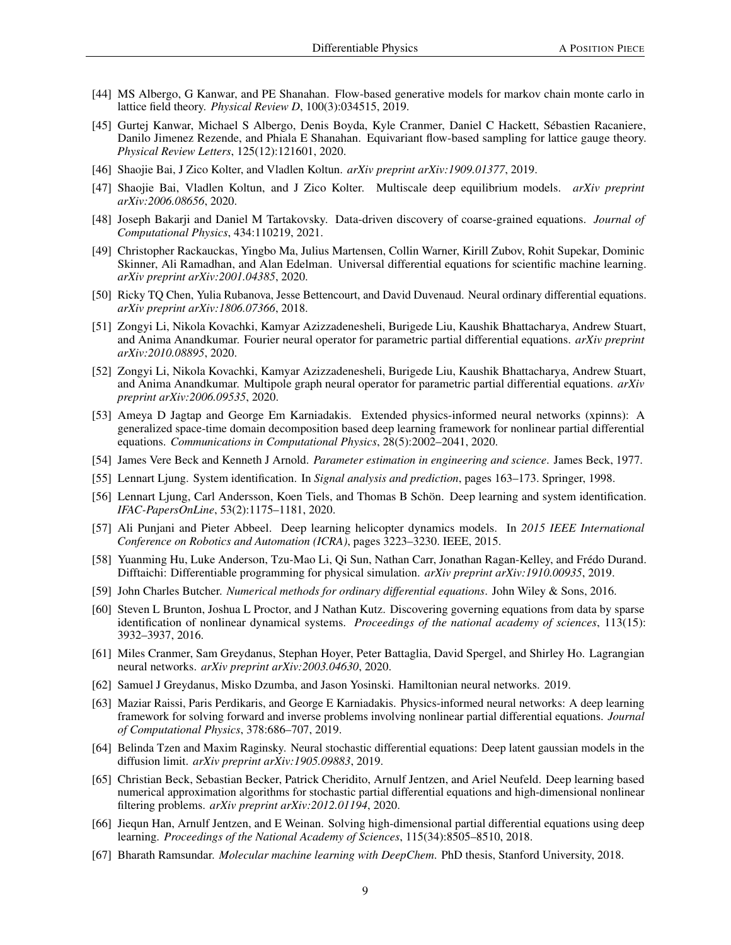- <span id="page-8-0"></span>[44] MS Albergo, G Kanwar, and PE Shanahan. Flow-based generative models for markov chain monte carlo in lattice field theory. *Physical Review D*, 100(3):034515, 2019.
- <span id="page-8-1"></span>[45] Gurtej Kanwar, Michael S Albergo, Denis Boyda, Kyle Cranmer, Daniel C Hackett, Sébastien Racaniere, Danilo Jimenez Rezende, and Phiala E Shanahan. Equivariant flow-based sampling for lattice gauge theory. *Physical Review Letters*, 125(12):121601, 2020.
- <span id="page-8-2"></span>[46] Shaojie Bai, J Zico Kolter, and Vladlen Koltun. *arXiv preprint arXiv:1909.01377*, 2019.
- <span id="page-8-3"></span>[47] Shaojie Bai, Vladlen Koltun, and J Zico Kolter. Multiscale deep equilibrium models. *arXiv preprint arXiv:2006.08656*, 2020.
- <span id="page-8-4"></span>[48] Joseph Bakarji and Daniel M Tartakovsky. Data-driven discovery of coarse-grained equations. *Journal of Computational Physics*, 434:110219, 2021.
- <span id="page-8-5"></span>[49] Christopher Rackauckas, Yingbo Ma, Julius Martensen, Collin Warner, Kirill Zubov, Rohit Supekar, Dominic Skinner, Ali Ramadhan, and Alan Edelman. Universal differential equations for scientific machine learning. *arXiv preprint arXiv:2001.04385*, 2020.
- <span id="page-8-6"></span>[50] Ricky TQ Chen, Yulia Rubanova, Jesse Bettencourt, and David Duvenaud. Neural ordinary differential equations. *arXiv preprint arXiv:1806.07366*, 2018.
- <span id="page-8-7"></span>[51] Zongyi Li, Nikola Kovachki, Kamyar Azizzadenesheli, Burigede Liu, Kaushik Bhattacharya, Andrew Stuart, and Anima Anandkumar. Fourier neural operator for parametric partial differential equations. *arXiv preprint arXiv:2010.08895*, 2020.
- <span id="page-8-8"></span>[52] Zongyi Li, Nikola Kovachki, Kamyar Azizzadenesheli, Burigede Liu, Kaushik Bhattacharya, Andrew Stuart, and Anima Anandkumar. Multipole graph neural operator for parametric partial differential equations. *arXiv preprint arXiv:2006.09535*, 2020.
- <span id="page-8-9"></span>[53] Ameya D Jagtap and George Em Karniadakis. Extended physics-informed neural networks (xpinns): A generalized space-time domain decomposition based deep learning framework for nonlinear partial differential equations. *Communications in Computational Physics*, 28(5):2002–2041, 2020.
- <span id="page-8-10"></span>[54] James Vere Beck and Kenneth J Arnold. *Parameter estimation in engineering and science*. James Beck, 1977.
- <span id="page-8-11"></span>[55] Lennart Ljung. System identification. In *Signal analysis and prediction*, pages 163–173. Springer, 1998.
- <span id="page-8-12"></span>[56] Lennart Ljung, Carl Andersson, Koen Tiels, and Thomas B Schön. Deep learning and system identification. *IFAC-PapersOnLine*, 53(2):1175–1181, 2020.
- <span id="page-8-13"></span>[57] Ali Punjani and Pieter Abbeel. Deep learning helicopter dynamics models. In *2015 IEEE International Conference on Robotics and Automation (ICRA)*, pages 3223–3230. IEEE, 2015.
- <span id="page-8-14"></span>[58] Yuanming Hu, Luke Anderson, Tzu-Mao Li, Qi Sun, Nathan Carr, Jonathan Ragan-Kelley, and Frédo Durand. Difftaichi: Differentiable programming for physical simulation. *arXiv preprint arXiv:1910.00935*, 2019.
- <span id="page-8-15"></span>[59] John Charles Butcher. *Numerical methods for ordinary differential equations*. John Wiley & Sons, 2016.
- <span id="page-8-16"></span>[60] Steven L Brunton, Joshua L Proctor, and J Nathan Kutz. Discovering governing equations from data by sparse identification of nonlinear dynamical systems. *Proceedings of the national academy of sciences*, 113(15): 3932–3937, 2016.
- <span id="page-8-17"></span>[61] Miles Cranmer, Sam Greydanus, Stephan Hoyer, Peter Battaglia, David Spergel, and Shirley Ho. Lagrangian neural networks. *arXiv preprint arXiv:2003.04630*, 2020.
- <span id="page-8-18"></span>[62] Samuel J Greydanus, Misko Dzumba, and Jason Yosinski. Hamiltonian neural networks. 2019.
- <span id="page-8-19"></span>[63] Maziar Raissi, Paris Perdikaris, and George E Karniadakis. Physics-informed neural networks: A deep learning framework for solving forward and inverse problems involving nonlinear partial differential equations. *Journal of Computational Physics*, 378:686–707, 2019.
- <span id="page-8-20"></span>[64] Belinda Tzen and Maxim Raginsky. Neural stochastic differential equations: Deep latent gaussian models in the diffusion limit. *arXiv preprint arXiv:1905.09883*, 2019.
- <span id="page-8-21"></span>[65] Christian Beck, Sebastian Becker, Patrick Cheridito, Arnulf Jentzen, and Ariel Neufeld. Deep learning based numerical approximation algorithms for stochastic partial differential equations and high-dimensional nonlinear filtering problems. *arXiv preprint arXiv:2012.01194*, 2020.
- <span id="page-8-22"></span>[66] Jiequn Han, Arnulf Jentzen, and E Weinan. Solving high-dimensional partial differential equations using deep learning. *Proceedings of the National Academy of Sciences*, 115(34):8505–8510, 2018.
- <span id="page-8-23"></span>[67] Bharath Ramsundar. *Molecular machine learning with DeepChem*. PhD thesis, Stanford University, 2018.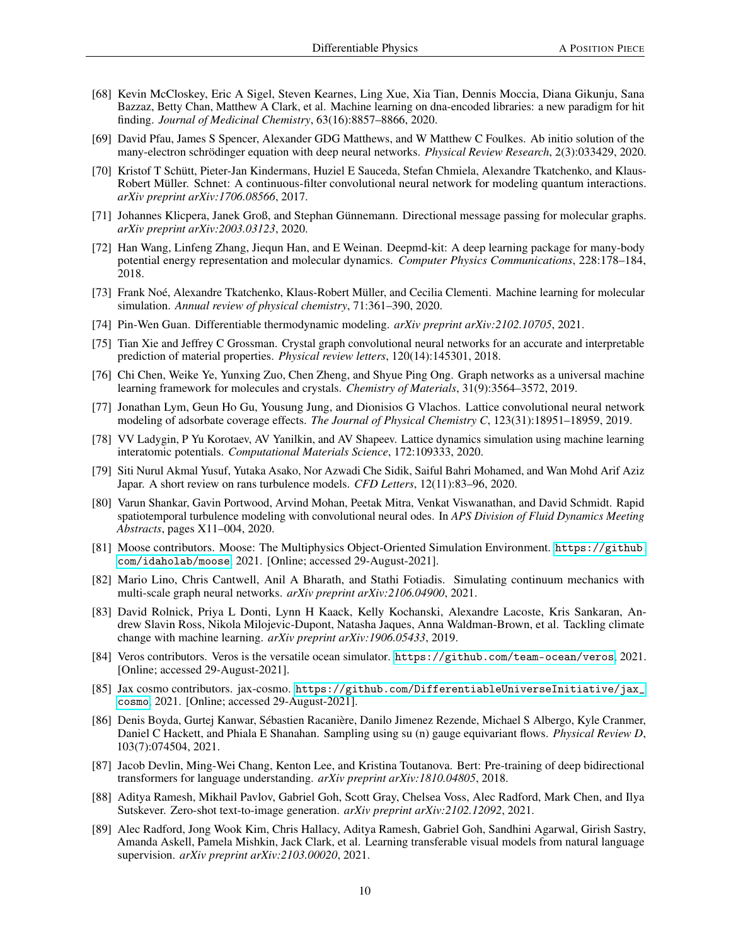- <span id="page-9-0"></span>[68] Kevin McCloskey, Eric A Sigel, Steven Kearnes, Ling Xue, Xia Tian, Dennis Moccia, Diana Gikunju, Sana Bazzaz, Betty Chan, Matthew A Clark, et al. Machine learning on dna-encoded libraries: a new paradigm for hit finding. *Journal of Medicinal Chemistry*, 63(16):8857–8866, 2020.
- <span id="page-9-1"></span>[69] David Pfau, James S Spencer, Alexander GDG Matthews, and W Matthew C Foulkes. Ab initio solution of the many-electron schrödinger equation with deep neural networks. *Physical Review Research*, 2(3):033429, 2020.
- <span id="page-9-2"></span>[70] Kristof T Schütt, Pieter-Jan Kindermans, Huziel E Sauceda, Stefan Chmiela, Alexandre Tkatchenko, and Klaus-Robert Müller. Schnet: A continuous-filter convolutional neural network for modeling quantum interactions. *arXiv preprint arXiv:1706.08566*, 2017.
- <span id="page-9-3"></span>[71] Johannes Klicpera, Janek Groß, and Stephan Günnemann. Directional message passing for molecular graphs. *arXiv preprint arXiv:2003.03123*, 2020.
- <span id="page-9-4"></span>[72] Han Wang, Linfeng Zhang, Jiequn Han, and E Weinan. Deepmd-kit: A deep learning package for many-body potential energy representation and molecular dynamics. *Computer Physics Communications*, 228:178–184, 2018.
- <span id="page-9-5"></span>[73] Frank Noé, Alexandre Tkatchenko, Klaus-Robert Müller, and Cecilia Clementi. Machine learning for molecular simulation. *Annual review of physical chemistry*, 71:361–390, 2020.
- <span id="page-9-6"></span>[74] Pin-Wen Guan. Differentiable thermodynamic modeling. *arXiv preprint arXiv:2102.10705*, 2021.
- <span id="page-9-7"></span>[75] Tian Xie and Jeffrey C Grossman. Crystal graph convolutional neural networks for an accurate and interpretable prediction of material properties. *Physical review letters*, 120(14):145301, 2018.
- <span id="page-9-8"></span>[76] Chi Chen, Weike Ye, Yunxing Zuo, Chen Zheng, and Shyue Ping Ong. Graph networks as a universal machine learning framework for molecules and crystals. *Chemistry of Materials*, 31(9):3564–3572, 2019.
- <span id="page-9-9"></span>[77] Jonathan Lym, Geun Ho Gu, Yousung Jung, and Dionisios G Vlachos. Lattice convolutional neural network modeling of adsorbate coverage effects. *The Journal of Physical Chemistry C*, 123(31):18951–18959, 2019.
- <span id="page-9-10"></span>[78] VV Ladygin, P Yu Korotaev, AV Yanilkin, and AV Shapeev. Lattice dynamics simulation using machine learning interatomic potentials. *Computational Materials Science*, 172:109333, 2020.
- <span id="page-9-11"></span>[79] Siti Nurul Akmal Yusuf, Yutaka Asako, Nor Azwadi Che Sidik, Saiful Bahri Mohamed, and Wan Mohd Arif Aziz Japar. A short review on rans turbulence models. *CFD Letters*, 12(11):83–96, 2020.
- <span id="page-9-12"></span>[80] Varun Shankar, Gavin Portwood, Arvind Mohan, Peetak Mitra, Venkat Viswanathan, and David Schmidt. Rapid spatiotemporal turbulence modeling with convolutional neural odes. In *APS Division of Fluid Dynamics Meeting Abstracts*, pages X11–004, 2020.
- <span id="page-9-13"></span>[81] Moose contributors. Moose: The Multiphysics Object-Oriented Simulation Environment. [https://github.](https://github.com/idaholab/moose) [com/idaholab/moose](https://github.com/idaholab/moose), 2021. [Online; accessed 29-August-2021].
- <span id="page-9-14"></span>[82] Mario Lino, Chris Cantwell, Anil A Bharath, and Stathi Fotiadis. Simulating continuum mechanics with multi-scale graph neural networks. *arXiv preprint arXiv:2106.04900*, 2021.
- <span id="page-9-15"></span>[83] David Rolnick, Priya L Donti, Lynn H Kaack, Kelly Kochanski, Alexandre Lacoste, Kris Sankaran, Andrew Slavin Ross, Nikola Milojevic-Dupont, Natasha Jaques, Anna Waldman-Brown, et al. Tackling climate change with machine learning. *arXiv preprint arXiv:1906.05433*, 2019.
- <span id="page-9-16"></span>[84] Veros contributors. Veros is the versatile ocean simulator. <https://github.com/team-ocean/veros>, 2021. [Online; accessed 29-August-2021].
- <span id="page-9-17"></span>[85] Jax cosmo contributors. jax-cosmo. [https://github.com/DifferentiableUniverseInitiative/jax\\_](https://github.com/DifferentiableUniverseInitiative/jax_cosmo) [cosmo](https://github.com/DifferentiableUniverseInitiative/jax_cosmo), 2021. [Online; accessed 29-August-2021].
- <span id="page-9-18"></span>[86] Denis Boyda, Gurtej Kanwar, Sébastien Racanière, Danilo Jimenez Rezende, Michael S Albergo, Kyle Cranmer, Daniel C Hackett, and Phiala E Shanahan. Sampling using su (n) gauge equivariant flows. *Physical Review D*, 103(7):074504, 2021.
- <span id="page-9-19"></span>[87] Jacob Devlin, Ming-Wei Chang, Kenton Lee, and Kristina Toutanova. Bert: Pre-training of deep bidirectional transformers for language understanding. *arXiv preprint arXiv:1810.04805*, 2018.
- <span id="page-9-20"></span>[88] Aditya Ramesh, Mikhail Pavlov, Gabriel Goh, Scott Gray, Chelsea Voss, Alec Radford, Mark Chen, and Ilya Sutskever. Zero-shot text-to-image generation. *arXiv preprint arXiv:2102.12092*, 2021.
- <span id="page-9-21"></span>[89] Alec Radford, Jong Wook Kim, Chris Hallacy, Aditya Ramesh, Gabriel Goh, Sandhini Agarwal, Girish Sastry, Amanda Askell, Pamela Mishkin, Jack Clark, et al. Learning transferable visual models from natural language supervision. *arXiv preprint arXiv:2103.00020*, 2021.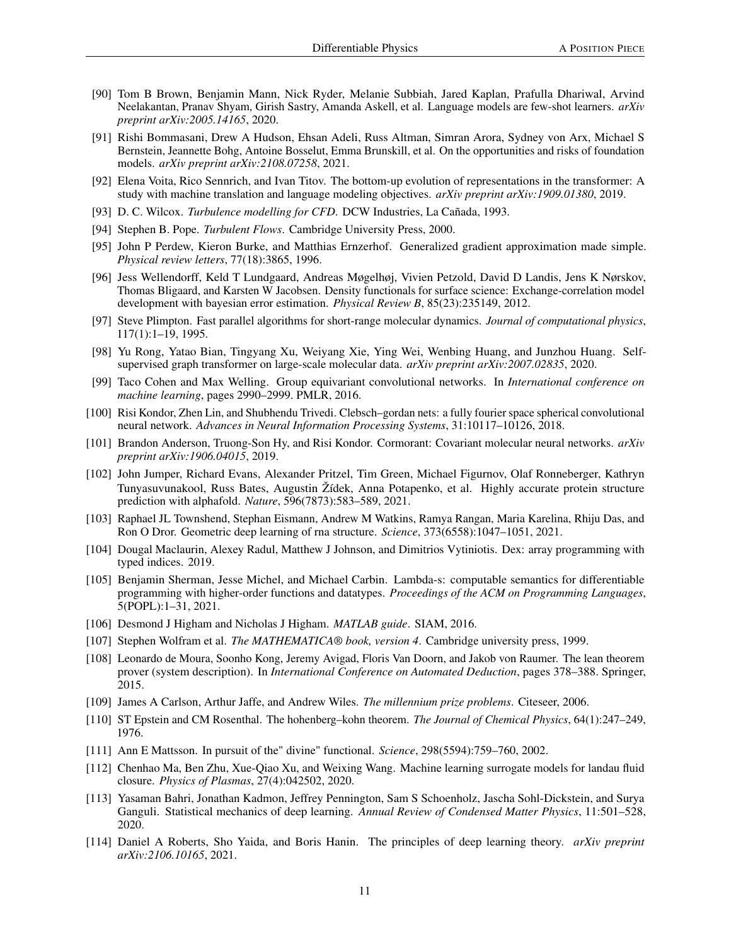- <span id="page-10-0"></span>[90] Tom B Brown, Benjamin Mann, Nick Ryder, Melanie Subbiah, Jared Kaplan, Prafulla Dhariwal, Arvind Neelakantan, Pranav Shyam, Girish Sastry, Amanda Askell, et al. Language models are few-shot learners. *arXiv preprint arXiv:2005.14165*, 2020.
- <span id="page-10-1"></span>[91] Rishi Bommasani, Drew A Hudson, Ehsan Adeli, Russ Altman, Simran Arora, Sydney von Arx, Michael S Bernstein, Jeannette Bohg, Antoine Bosselut, Emma Brunskill, et al. On the opportunities and risks of foundation models. *arXiv preprint arXiv:2108.07258*, 2021.
- <span id="page-10-2"></span>[92] Elena Voita, Rico Sennrich, and Ivan Titov. The bottom-up evolution of representations in the transformer: A study with machine translation and language modeling objectives. *arXiv preprint arXiv:1909.01380*, 2019.
- <span id="page-10-3"></span>[93] D. C. Wilcox. *Turbulence modelling for CFD*. DCW Industries, La Cañada, 1993.
- <span id="page-10-4"></span>[94] Stephen B. Pope. *Turbulent Flows*. Cambridge University Press, 2000.
- <span id="page-10-5"></span>[95] John P Perdew, Kieron Burke, and Matthias Ernzerhof. Generalized gradient approximation made simple. *Physical review letters*, 77(18):3865, 1996.
- <span id="page-10-6"></span>[96] Jess Wellendorff, Keld T Lundgaard, Andreas Møgelhøj, Vivien Petzold, David D Landis, Jens K Nørskov, Thomas Bligaard, and Karsten W Jacobsen. Density functionals for surface science: Exchange-correlation model development with bayesian error estimation. *Physical Review B*, 85(23):235149, 2012.
- <span id="page-10-7"></span>[97] Steve Plimpton. Fast parallel algorithms for short-range molecular dynamics. *Journal of computational physics*, 117(1):1–19, 1995.
- <span id="page-10-8"></span>[98] Yu Rong, Yatao Bian, Tingyang Xu, Weiyang Xie, Ying Wei, Wenbing Huang, and Junzhou Huang. Selfsupervised graph transformer on large-scale molecular data. *arXiv preprint arXiv:2007.02835*, 2020.
- <span id="page-10-9"></span>[99] Taco Cohen and Max Welling. Group equivariant convolutional networks. In *International conference on machine learning*, pages 2990–2999. PMLR, 2016.
- <span id="page-10-10"></span>[100] Risi Kondor, Zhen Lin, and Shubhendu Trivedi. Clebsch-gordan nets: a fully fourier space spherical convolutional neural network. *Advances in Neural Information Processing Systems*, 31:10117–10126, 2018.
- <span id="page-10-11"></span>[101] Brandon Anderson, Truong-Son Hy, and Risi Kondor. Cormorant: Covariant molecular neural networks. *arXiv preprint arXiv:1906.04015*, 2019.
- <span id="page-10-12"></span>[102] John Jumper, Richard Evans, Alexander Pritzel, Tim Green, Michael Figurnov, Olaf Ronneberger, Kathryn Tunyasuvunakool, Russ Bates, Augustin Žídek, Anna Potapenko, et al. Highly accurate protein structure prediction with alphafold. *Nature*, 596(7873):583–589, 2021.
- <span id="page-10-13"></span>[103] Raphael JL Townshend, Stephan Eismann, Andrew M Watkins, Ramya Rangan, Maria Karelina, Rhiju Das, and Ron O Dror. Geometric deep learning of rna structure. *Science*, 373(6558):1047–1051, 2021.
- <span id="page-10-14"></span>[104] Dougal Maclaurin, Alexey Radul, Matthew J Johnson, and Dimitrios Vytiniotis. Dex: array programming with typed indices. 2019.
- <span id="page-10-15"></span>[105] Benjamin Sherman, Jesse Michel, and Michael Carbin. Lambda-s: computable semantics for differentiable programming with higher-order functions and datatypes. *Proceedings of the ACM on Programming Languages*, 5(POPL):1–31, 2021.
- <span id="page-10-16"></span>[106] Desmond J Higham and Nicholas J Higham. *MATLAB guide*. SIAM, 2016.
- <span id="page-10-17"></span>[107] Stephen Wolfram et al. *The MATHEMATICA® book, version 4*. Cambridge university press, 1999.
- <span id="page-10-18"></span>[108] Leonardo de Moura, Soonho Kong, Jeremy Avigad, Floris Van Doorn, and Jakob von Raumer. The lean theorem prover (system description). In *International Conference on Automated Deduction*, pages 378–388. Springer, 2015.
- <span id="page-10-19"></span>[109] James A Carlson, Arthur Jaffe, and Andrew Wiles. *The millennium prize problems*. Citeseer, 2006.
- <span id="page-10-20"></span>[110] ST Epstein and CM Rosenthal. The hohenberg–kohn theorem. *The Journal of Chemical Physics*, 64(1):247–249, 1976.
- <span id="page-10-21"></span>[111] Ann E Mattsson. In pursuit of the" divine" functional. *Science*, 298(5594):759–760, 2002.
- <span id="page-10-22"></span>[112] Chenhao Ma, Ben Zhu, Xue-Qiao Xu, and Weixing Wang. Machine learning surrogate models for landau fluid closure. *Physics of Plasmas*, 27(4):042502, 2020.
- <span id="page-10-23"></span>[113] Yasaman Bahri, Jonathan Kadmon, Jeffrey Pennington, Sam S Schoenholz, Jascha Sohl-Dickstein, and Surya Ganguli. Statistical mechanics of deep learning. *Annual Review of Condensed Matter Physics*, 11:501–528, 2020.
- <span id="page-10-24"></span>[114] Daniel A Roberts, Sho Yaida, and Boris Hanin. The principles of deep learning theory. *arXiv preprint arXiv:2106.10165*, 2021.